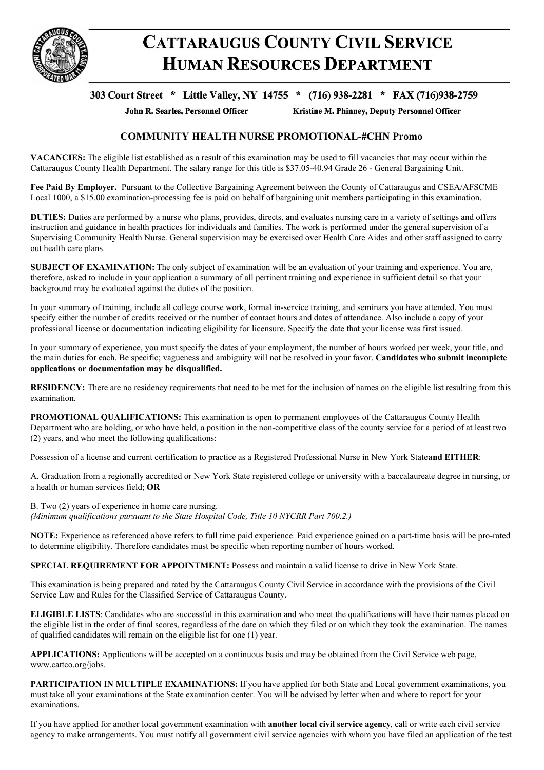

## **CATTARAUGUS COUNTY CIVIL SERVICE HUMAN RESOURCES DEPARTMENT**

## 303 Court Street \* Little Valley, NY 14755 \* (716) 938-2281 \* FAX (716)938-2759

John R. Searles, Personnel Officer

Kristine M. Phinney, Deputy Personnel Officer

## **COMMUNITY HEALTH NURSE PROMOTIONAL-#CHN Promo**

**VACANCIES:** The eligible list established as a result of this examination may be used to fill vacancies that may occur within the Cattaraugus County Health Department. The salary range for this title is \$37.05-40.94 Grade 26 - General Bargaining Unit.

**Fee Paid By Employer.** Pursuant to the Collective Bargaining Agreement between the County of Cattaraugus and CSEA/AFSCME Local 1000, a \$15.00 examination-processing fee is paid on behalf of bargaining unit members participating in this examination.

**DUTIES:** Duties are performed by a nurse who plans, provides, directs, and evaluates nursing care in a variety of settings and offers instruction and guidance in health practices for individuals and families. The work is performed under the general supervision of a Supervising Community Health Nurse. General supervision may be exercised over Health Care Aides and other staff assigned to carry out health care plans.

**SUBJECT OF EXAMINATION:** The only subject of examination will be an evaluation of your training and experience. You are, therefore, asked to include in your application a summary of all pertinent training and experience in sufficient detail so that your background may be evaluated against the duties of the position.

In your summary of training, include all college course work, formal in-service training, and seminars you have attended. You must specify either the number of credits received or the number of contact hours and dates of attendance. Also include a copy of your professional license or documentation indicating eligibility for licensure. Specify the date that your license was first issued.

In your summary of experience, you must specify the dates of your employment, the number of hours worked per week, your title, and the main duties for each. Be specific; vagueness and ambiguity will not be resolved in your favor. **Candidates who submit incomplete applications or documentation may be disqualified.**

**RESIDENCY:** There are no residency requirements that need to be met for the inclusion of names on the eligible list resulting from this examination.

**PROMOTIONAL QUALIFICATIONS:** This examination is open to permanent employees of the Cattaraugus County Health Department who are holding, or who have held, a position in the non-competitive class of the county service for a period of at least two (2) years, and who meet the following qualifications:

Possession of a license and current certification to practice as a Registered Professional Nurse in New York State**and EITHER**:

A. Graduation from a regionally accredited or New York State registered college or university with a baccalaureate degree in nursing, or a health or human services field; **OR**

B. Two (2) years of experience in home care nursing. *(Minimum qualifications pursuant to the State Hospital Code, Title 10 NYCRR Part 700.2.)*

**NOTE:** Experience as referenced above refers to full time paid experience. Paid experience gained on a part-time basis will be pro-rated to determine eligibility. Therefore candidates must be specific when reporting number of hours worked.

**SPECIAL REQUIREMENT FOR APPOINTMENT:** Possess and maintain a valid license to drive in New York State.

This examination is being prepared and rated by the Cattaraugus County Civil Service in accordance with the provisions of the Civil Service Law and Rules for the Classified Service of Cattaraugus County.

**ELIGIBLE LISTS**: Candidates who are successful in this examination and who meet the qualifications will have their names placed on the eligible list in the order of final scores, regardless of the date on which they filed or on which they took the examination. The names of qualified candidates will remain on the eligible list for one (1) year.

**APPLICATIONS:** Applications will be accepted on a continuous basis and may be obtained from the Civil Service web page, www.cattco.org/jobs.

**PARTICIPATION IN MULTIPLE EXAMINATIONS:** If you have applied for both State and Local government examinations, you must take all your examinations at the State examination center. You will be advised by letter when and where to report for your examinations.

If you have applied for another local government examination with **another local civil service agency**, call or write each civil service agency to make arrangements. You must notify all government civil service agencies with whom you have filed an application of the test